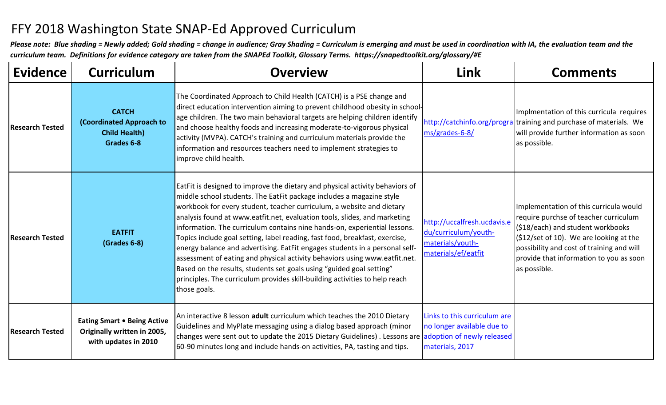## FFY 2018 Washington State SNAP-Ed Approved Curriculum

*Please note: Blue shading = Newly added; Gold shading = change in audience; Gray Shading = Curriculum is emerging and must be used in coordination with IA, the evaluation team and the curriculum team. Definitions for evidence category are taken from the SNAPEd Toolkit, Glossary Terms. https://snapedtoolkit.org/glossary/#E*

| <b>Evidence</b>        | <b>Curriculum</b>                                                                         | <b>Overview</b>                                                                                                                                                                                                                                                                                                                                                                                                                                                                                                                                                                                                                                                                                                                                                                                            | <b>Link</b>                                                                                    | <b>Comments</b>                                                                                                                                                                                                                                                                  |
|------------------------|-------------------------------------------------------------------------------------------|------------------------------------------------------------------------------------------------------------------------------------------------------------------------------------------------------------------------------------------------------------------------------------------------------------------------------------------------------------------------------------------------------------------------------------------------------------------------------------------------------------------------------------------------------------------------------------------------------------------------------------------------------------------------------------------------------------------------------------------------------------------------------------------------------------|------------------------------------------------------------------------------------------------|----------------------------------------------------------------------------------------------------------------------------------------------------------------------------------------------------------------------------------------------------------------------------------|
| <b>Research Tested</b> | <b>CATCH</b><br>(Coordinated Approach to<br><b>Child Health)</b><br>Grades 6-8            | The Coordinated Approach to Child Health (CATCH) is a PSE change and<br>direct education intervention aiming to prevent childhood obesity in school-<br>age children. The two main behavioral targets are helping children identify<br>and choose healthy foods and increasing moderate-to-vigorous physical<br>activity (MVPA). CATCH's training and curriculum materials provide the<br>information and resources teachers need to implement strategies to<br>improve child health.                                                                                                                                                                                                                                                                                                                      | ms/grades-6-8/                                                                                 | Implmentation of this curricula requires<br>http://catchinfo.org/prograltraining and purchase of materials. We<br>will provide further information as soon<br>as possible.                                                                                                       |
| <b>Research Tested</b> | <b>EATFIT</b><br>(Grades 6-8)                                                             | EatFit is designed to improve the dietary and physical activity behaviors of<br>middle school students. The EatFit package includes a magazine style<br>workbook for every student, teacher curriculum, a website and dietary<br>analysis found at www.eatfit.net, evaluation tools, slides, and marketing<br>information. The curriculum contains nine hands-on, experiential lessons.<br>Topics include goal setting, label reading, fast food, breakfast, exercise,<br>energy balance and advertising. EatFit engages students in a personal self-<br>assessment of eating and physical activity behaviors using www.eatfit.net.<br>Based on the results, students set goals using "guided goal setting"<br>principles. The curriculum provides skill-building activities to help reach<br>those goals. | http://uccalfresh.ucdavis.e<br>du/curriculum/youth-<br>materials/youth-<br>materials/ef/eatfit | Implementation of this curricula would<br>require purchse of teacher curriculum<br>(\$18/each) and student workbooks<br>$(S12/\text{set of 10})$ . We are looking at the<br>possibility and cost of training and will<br>provide that information to you as soon<br>as possible. |
| <b>Research Tested</b> | <b>Eating Smart . Being Active</b><br>Originally written in 2005,<br>with updates in 2010 | An interactive 8 lesson adult curriculum which teaches the 2010 Dietary<br>Guidelines and MyPlate messaging using a dialog based approach (minor<br>changes were sent out to update the 2015 Dietary Guidelines). Lessons are adoption of newly released<br>60-90 minutes long and include hands-on activities, PA, tasting and tips.                                                                                                                                                                                                                                                                                                                                                                                                                                                                      | Links to this curriculum are<br>no longer available due to<br>materials, 2017                  |                                                                                                                                                                                                                                                                                  |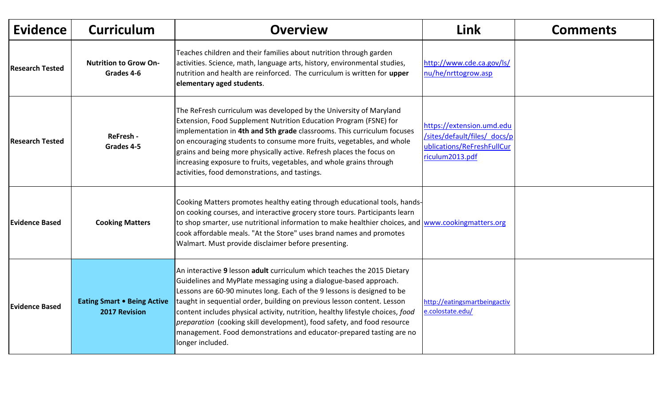| <b>Evidence</b>        | <b>Curriculum</b>                                          | <b>Overview</b>                                                                                                                                                                                                                                                                                                                                                                                                                                                                                                                                             | Link                                                                                                       | <b>Comments</b> |
|------------------------|------------------------------------------------------------|-------------------------------------------------------------------------------------------------------------------------------------------------------------------------------------------------------------------------------------------------------------------------------------------------------------------------------------------------------------------------------------------------------------------------------------------------------------------------------------------------------------------------------------------------------------|------------------------------------------------------------------------------------------------------------|-----------------|
| <b>Research Tested</b> | <b>Nutrition to Grow On-</b><br>Grades 4-6                 | Teaches children and their families about nutrition through garden<br>activities. Science, math, language arts, history, environmental studies,<br>nutrition and health are reinforced. The curriculum is written for upper<br>elementary aged students.                                                                                                                                                                                                                                                                                                    | http://www.cde.ca.gov/ls/<br>nu/he/nrttogrow.asp                                                           |                 |
| <b>Research Tested</b> | ReFresh -<br>Grades 4-5                                    | The ReFresh curriculum was developed by the University of Maryland<br>Extension, Food Supplement Nutrition Education Program (FSNE) for<br>implementation in 4th and 5th grade classrooms. This curriculum focuses<br>on encouraging students to consume more fruits, vegetables, and whole<br>grains and being more physically active. Refresh places the focus on<br>increasing exposure to fruits, vegetables, and whole grains through<br>activities, food demonstrations, and tastings.                                                                | https://extension.umd.edu<br>/sites/default/files/ docs/p<br>ublications/ReFreshFullCur<br>riculum2013.pdf |                 |
| <b>Evidence Based</b>  | <b>Cooking Matters</b>                                     | Cooking Matters promotes healthy eating through educational tools, hands-<br>on cooking courses, and interactive grocery store tours. Participants learn<br>to shop smarter, use nutritional information to make healthier choices, and www.cookingmatters.org<br>cook affordable meals. "At the Store" uses brand names and promotes<br>Walmart. Must provide disclaimer before presenting.                                                                                                                                                                |                                                                                                            |                 |
| <b>Evidence Based</b>  | <b>Eating Smart . Being Active</b><br><b>2017 Revision</b> | An interactive 9 lesson adult curriculum which teaches the 2015 Dietary<br>Guidelines and MyPlate messaging using a dialogue-based approach.<br>Lessons are 60-90 minutes long. Each of the 9 lessons is designed to be<br>taught in sequential order, building on previous lesson content. Lesson<br>content includes physical activity, nutrition, healthy lifestyle choices, food<br>preparation (cooking skill development), food safety, and food resource<br>management. Food demonstrations and educator-prepared tasting are no<br>longer included. | http://eatingsmartbeingactiv<br>e.colostate.edu/                                                           |                 |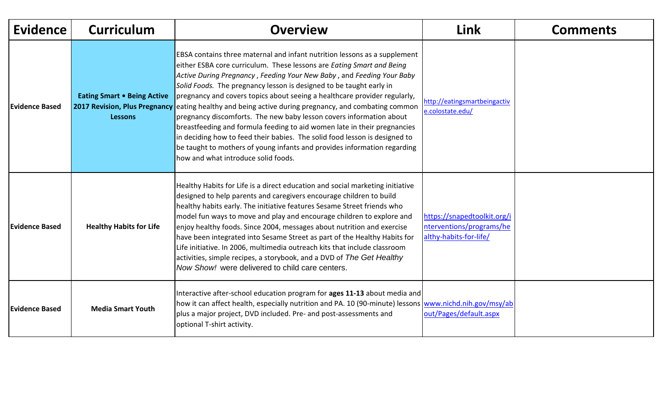| <b>Evidence</b>       | <b>Curriculum</b>                                    | <b>Overview</b>                                                                                                                                                                                                                                                                                                                                                                                                                                                                                                                                                                                                                                                                                                                                                                                                                             | Link                                                                              | <b>Comments</b> |
|-----------------------|------------------------------------------------------|---------------------------------------------------------------------------------------------------------------------------------------------------------------------------------------------------------------------------------------------------------------------------------------------------------------------------------------------------------------------------------------------------------------------------------------------------------------------------------------------------------------------------------------------------------------------------------------------------------------------------------------------------------------------------------------------------------------------------------------------------------------------------------------------------------------------------------------------|-----------------------------------------------------------------------------------|-----------------|
| Evidence Based        | <b>Eating Smart . Being Active</b><br><b>Lessons</b> | EBSA contains three maternal and infant nutrition lessons as a supplement<br>either ESBA core curriculum. These lessons are Eating Smart and Being<br>Active During Pregnancy, Feeding Your New Baby, and Feeding Your Baby<br>Solid Foods. The pregnancy lesson is designed to be taught early in<br>pregnancy and covers topics about seeing a healthcare provider regularly,<br>2017 Revision, Plus Pregnancy eating healthy and being active during pregnancy, and combating common<br>pregnancy discomforts. The new baby lesson covers information about<br>breastfeeding and formula feeding to aid women late in their pregnancies<br>In deciding how to feed their babies. The solid food lesson is designed to<br>be taught to mothers of young infants and provides information regarding<br>how and what introduce solid foods. | http://eatingsmartbeingactiv<br>e.colostate.edu/                                  |                 |
| <b>Evidence Based</b> | <b>Healthy Habits for Life</b>                       | Healthy Habits for Life is a direct education and social marketing initiative<br>designed to help parents and caregivers encourage children to build<br>healthy habits early. The initiative features Sesame Street friends who<br>model fun ways to move and play and encourage children to explore and<br>enjoy healthy foods. Since 2004, messages about nutrition and exercise<br>have been integrated into Sesame Street as part of the Healthy Habits for<br>Life initiative. In 2006, multimedia outreach kits that include classroom<br>activities, simple recipes, a storybook, and a DVD of The Get Healthy<br>Now Show! were delivered to child care centers.                                                                                                                                                                    | https://snapedtoolkit.org/i<br>nterventions/programs/he<br>althy-habits-for-life/ |                 |
| <b>Evidence Based</b> | <b>Media Smart Youth</b>                             | Interactive after-school education program for ages 11-13 about media and<br>how it can affect health, especially nutrition and PA. 10 (90-minute) lessons www.nichd.nih.gov/msy/ab<br>plus a major project, DVD included. Pre- and post-assessments and<br>optional T-shirt activity.                                                                                                                                                                                                                                                                                                                                                                                                                                                                                                                                                      | out/Pages/default.aspx                                                            |                 |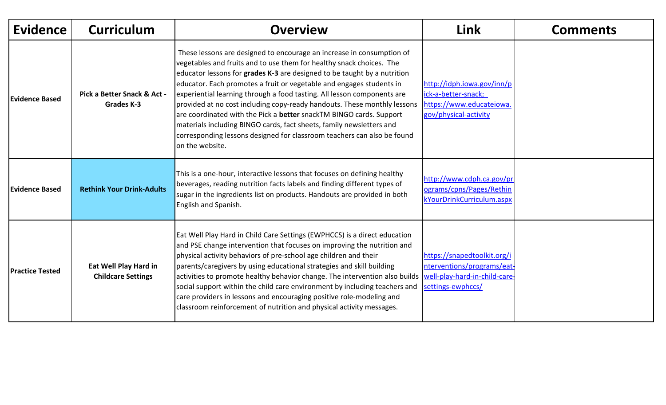| <b>Evidence</b>        | <b>Curriculum</b>                                  | <b>Overview</b>                                                                                                                                                                                                                                                                                                                                                                                                                                                                                                                                                                                                                                                                                       | <b>Link</b>                                                                                            | <b>Comments</b> |
|------------------------|----------------------------------------------------|-------------------------------------------------------------------------------------------------------------------------------------------------------------------------------------------------------------------------------------------------------------------------------------------------------------------------------------------------------------------------------------------------------------------------------------------------------------------------------------------------------------------------------------------------------------------------------------------------------------------------------------------------------------------------------------------------------|--------------------------------------------------------------------------------------------------------|-----------------|
| <b>Evidence Based</b>  | Pick a Better Snack & Act -<br>Grades K-3          | These lessons are designed to encourage an increase in consumption of<br>vegetables and fruits and to use them for healthy snack choices. The<br>educator lessons for grades K-3 are designed to be taught by a nutrition<br>educator. Each promotes a fruit or vegetable and engages students in<br>experiential learning through a food tasting. All lesson components are<br>provided at no cost including copy-ready handouts. These monthly lessons<br>are coordinated with the Pick a better snackTM BINGO cards. Support<br>materials including BINGO cards, fact sheets, family newsletters and<br>corresponding lessons designed for classroom teachers can also be found<br>on the website. | http://idph.iowa.gov/inn/p<br>ick-a-better-snack;<br>https://www.educateiowa.<br>gov/physical-activity |                 |
| Evidence Based         | <b>Rethink Your Drink-Adults</b>                   | This is a one-hour, interactive lessons that focuses on defining healthy<br>beverages, reading nutrition facts labels and finding different types of<br>sugar in the ingredients list on products. Handouts are provided in both<br>English and Spanish.                                                                                                                                                                                                                                                                                                                                                                                                                                              | http://www.cdph.ca.gov/pr<br>ograms/cpns/Pages/Rethin<br>kYourDrinkCurriculum.aspx                     |                 |
| <b>Practice Tested</b> | Eat Well Play Hard in<br><b>Childcare Settings</b> | Eat Well Play Hard in Child Care Settings (EWPHCCS) is a direct education<br>and PSE change intervention that focuses on improving the nutrition and<br>physical activity behaviors of pre-school age children and their<br>parents/caregivers by using educational strategies and skill building<br>activities to promote healthy behavior change. The intervention also builds  well-play-hard-in-child-care-<br>social support within the child care environment by including teachers and<br>care providers in lessons and encouraging positive role-modeling and<br>classroom reinforcement of nutrition and physical activity messages.                                                         | https://snapedtoolkit.org/i<br>nterventions/programs/eat-<br>settings-ewphccs/                         |                 |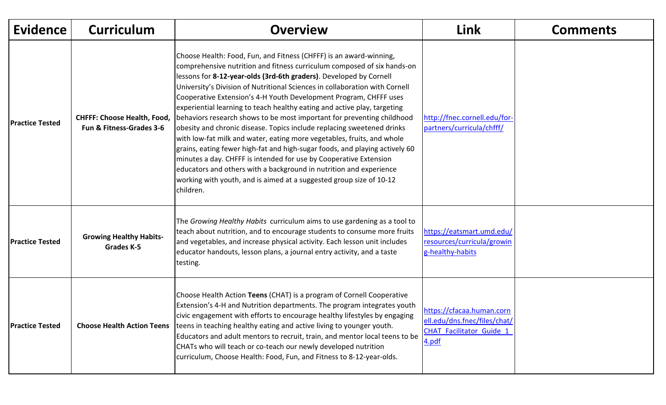| <b>Evidence</b>        | <b>Curriculum</b>                                              | <b>Overview</b>                                                                                                                                                                                                                                                                                                                                                                                                                                                                                                                                                                                                                                                                                                                                                                                                                                                                                                                                                                                 | Link                                                                                                  | <b>Comments</b> |
|------------------------|----------------------------------------------------------------|-------------------------------------------------------------------------------------------------------------------------------------------------------------------------------------------------------------------------------------------------------------------------------------------------------------------------------------------------------------------------------------------------------------------------------------------------------------------------------------------------------------------------------------------------------------------------------------------------------------------------------------------------------------------------------------------------------------------------------------------------------------------------------------------------------------------------------------------------------------------------------------------------------------------------------------------------------------------------------------------------|-------------------------------------------------------------------------------------------------------|-----------------|
| <b>Practice Tested</b> | <b>CHFFF: Choose Health, Food,</b><br>Fun & Fitness-Grades 3-6 | Choose Health: Food, Fun, and Fitness (CHFFF) is an award-winning,<br>comprehensive nutrition and fitness curriculum composed of six hands-on<br>lessons for 8-12-year-olds (3rd-6th graders). Developed by Cornell<br>University's Division of Nutritional Sciences in collaboration with Cornell<br>Cooperative Extension's 4-H Youth Development Program, CHFFF uses<br>experiential learning to teach healthy eating and active play, targeting<br>behaviors research shows to be most important for preventing childhood<br>obesity and chronic disease. Topics include replacing sweetened drinks<br>with low-fat milk and water, eating more vegetables, fruits, and whole<br>grains, eating fewer high-fat and high-sugar foods, and playing actively 60<br>minutes a day. CHFFF is intended for use by Cooperative Extension<br>educators and others with a background in nutrition and experience<br>working with youth, and is aimed at a suggested group size of 10-12<br>children. | http://fnec.cornell.edu/for-<br>partners/curricula/chfff/                                             |                 |
| <b>Practice Tested</b> | <b>Growing Healthy Habits-</b><br>Grades K-5                   | The Growing Healthy Habits curriculum aims to use gardening as a tool to<br>teach about nutrition, and to encourage students to consume more fruits<br>and vegetables, and increase physical activity. Each lesson unit includes<br>educator handouts, lesson plans, a journal entry activity, and a taste<br>testing.                                                                                                                                                                                                                                                                                                                                                                                                                                                                                                                                                                                                                                                                          | https://eatsmart.umd.edu/<br>resources/curricula/growin<br>g-healthy-habits                           |                 |
| <b>Practice Tested</b> | <b>Choose Health Action Teens</b>                              | Choose Health Action Teens (CHAT) is a program of Cornell Cooperative<br>Extension's 4-H and Nutrition departments. The program integrates youth<br>civic engagement with efforts to encourage healthy lifestyles by engaging<br>teens in teaching healthy eating and active living to younger youth.<br>Educators and adult mentors to recruit, train, and mentor local teens to be<br>CHATs who will teach or co-teach our newly developed nutrition<br>curriculum, Choose Health: Food, Fun, and Fitness to 8-12-year-olds.                                                                                                                                                                                                                                                                                                                                                                                                                                                                  | https://cfacaa.human.corn<br>ell.edu/dns.fnec/files/chat/<br><b>CHAT Facilitator Guide 1</b><br>4.pdf |                 |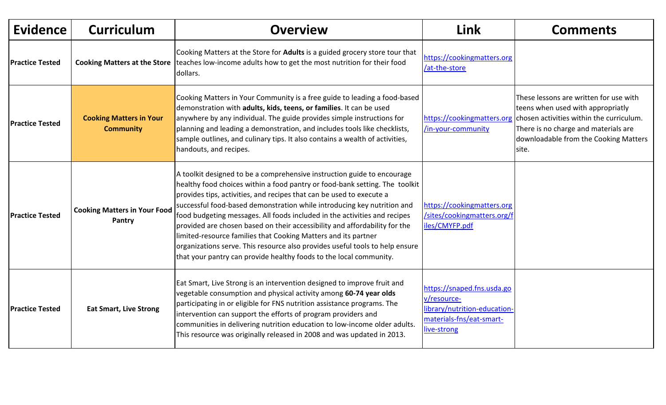| <b>Evidence</b>        | <b>Curriculum</b>                                  | <b>Overview</b>                                                                                                                                                                                                                                                                                                                                                                                                                                                                                                                                                                                                                                                                              | <b>Link</b>                                                                                                          | <b>Comments</b>                                                                                                                                                                                                   |
|------------------------|----------------------------------------------------|----------------------------------------------------------------------------------------------------------------------------------------------------------------------------------------------------------------------------------------------------------------------------------------------------------------------------------------------------------------------------------------------------------------------------------------------------------------------------------------------------------------------------------------------------------------------------------------------------------------------------------------------------------------------------------------------|----------------------------------------------------------------------------------------------------------------------|-------------------------------------------------------------------------------------------------------------------------------------------------------------------------------------------------------------------|
| <b>Practice Tested</b> |                                                    | Cooking Matters at the Store for Adults is a guided grocery store tour that<br>Cooking Matters at the Store teaches low-income adults how to get the most nutrition for their food<br>dollars.                                                                                                                                                                                                                                                                                                                                                                                                                                                                                               | https://cookingmatters.org<br>/at-the-store                                                                          |                                                                                                                                                                                                                   |
| <b>Practice Tested</b> | <b>Cooking Matters in Your</b><br><b>Community</b> | Cooking Matters in Your Community is a free guide to leading a food-based<br>demonstration with adults, kids, teens, or families. It can be used<br>anywhere by any individual. The guide provides simple instructions for<br>planning and leading a demonstration, and includes tools like checklists,<br>sample outlines, and culinary tips. It also contains a wealth of activities,<br>handouts, and recipes.                                                                                                                                                                                                                                                                            | https://cookingmatters.org<br>/in-your-community                                                                     | These lessons are written for use with<br>teens when used with appropriatly<br>chosen activities within the curriculum.<br>There is no charge and materials are<br>downloadable from the Cooking Matters<br>site. |
| <b>Practice Tested</b> | <b>Cooking Matters in Your Food</b><br>Pantry      | A toolkit designed to be a comprehensive instruction guide to encourage<br>healthy food choices within a food pantry or food-bank setting. The toolkit<br>provides tips, activities, and recipes that can be used to execute a<br>successful food-based demonstration while introducing key nutrition and<br>food budgeting messages. All foods included in the activities and recipes<br>provided are chosen based on their accessibility and affordability for the<br>limited-resource families that Cooking Matters and its partner<br>organizations serve. This resource also provides useful tools to help ensure<br>that your pantry can provide healthy foods to the local community. | https://cookingmatters.org<br>/sites/cookingmatters.org/f<br>iles/CMYFP.pdf                                          |                                                                                                                                                                                                                   |
| <b>Practice Tested</b> | <b>Eat Smart, Live Strong</b>                      | Eat Smart, Live Strong is an intervention designed to improve fruit and<br>vegetable consumption and physical activity among 60-74 year olds<br>participating in or eligible for FNS nutrition assistance programs. The<br>intervention can support the efforts of program providers and<br>communities in delivering nutrition education to low-income older adults.<br>This resource was originally released in 2008 and was updated in 2013.                                                                                                                                                                                                                                              | https://snaped.fns.usda.go<br>v/resource-<br>library/nutrition-education-<br>materials-fns/eat-smart-<br>live-strong |                                                                                                                                                                                                                   |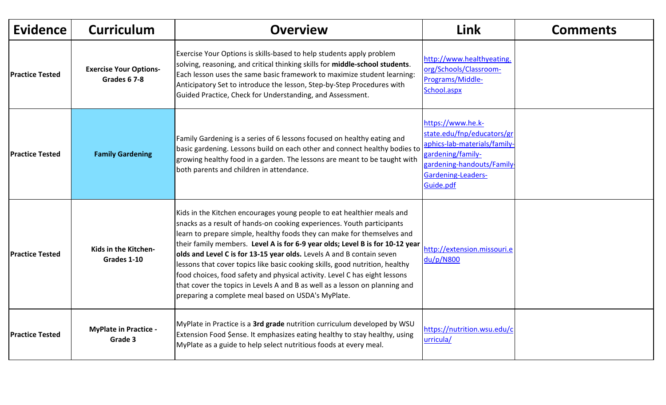| <b>Evidence</b>        | <b>Curriculum</b>                             | <b>Overview</b>                                                                                                                                                                                                                                                                                                                                                                                                                                                                                                                                                                                                                                                                          | Link                                                                                                                                                                       | <b>Comments</b> |
|------------------------|-----------------------------------------------|------------------------------------------------------------------------------------------------------------------------------------------------------------------------------------------------------------------------------------------------------------------------------------------------------------------------------------------------------------------------------------------------------------------------------------------------------------------------------------------------------------------------------------------------------------------------------------------------------------------------------------------------------------------------------------------|----------------------------------------------------------------------------------------------------------------------------------------------------------------------------|-----------------|
| <b>Practice Tested</b> | <b>Exercise Your Options-</b><br>Grades 6 7-8 | Exercise Your Options is skills-based to help students apply problem<br>solving, reasoning, and critical thinking skills for middle-school students.<br>Each lesson uses the same basic framework to maximize student learning:<br>Anticipatory Set to introduce the lesson, Step-by-Step Procedures with<br>Guided Practice, Check for Understanding, and Assessment.                                                                                                                                                                                                                                                                                                                   | http://www.healthyeating.<br>org/Schools/Classroom-<br>Programs/Middle-<br>School.aspx                                                                                     |                 |
| <b>Practice Tested</b> | <b>Family Gardening</b>                       | Family Gardening is a series of 6 lessons focused on healthy eating and<br>basic gardening. Lessons build on each other and connect healthy bodies to<br>growing healthy food in a garden. The lessons are meant to be taught with<br>both parents and children in attendance.                                                                                                                                                                                                                                                                                                                                                                                                           | https://www.he.k-<br>state.edu/fnp/educators/gr<br>aphics-lab-materials/family<br>gardening/family-<br>gardening-handouts/Family<br><b>Gardening-Leaders-</b><br>Guide.pdf |                 |
| <b>Practice Tested</b> | Kids in the Kitchen-<br>Grades 1-10           | Kids in the Kitchen encourages young people to eat healthier meals and<br>snacks as a result of hands-on cooking experiences. Youth participants<br>learn to prepare simple, healthy foods they can make for themselves and<br>their family members. Level A is for 6-9 year olds; Level B is for 10-12 year<br>olds and Level C is for 13-15 year olds. Levels A and B contain seven<br>lessons that cover topics like basic cooking skills, good nutrition, healthy<br>food choices, food safety and physical activity. Level C has eight lessons<br>that cover the topics in Levels A and B as well as a lesson on planning and<br>preparing a complete meal based on USDA's MyPlate. | http://extension.missouri.e<br>du/p/N800                                                                                                                                   |                 |
| <b>Practice Tested</b> | <b>MyPlate in Practice -</b><br>Grade 3       | MyPlate in Practice is a 3rd grade nutrition curriculum developed by WSU<br>Extension Food \$ense. It emphasizes eating healthy to stay healthy, using<br>MyPlate as a guide to help select nutritious foods at every meal.                                                                                                                                                                                                                                                                                                                                                                                                                                                              | https://nutrition.wsu.edu/d<br>urricula/                                                                                                                                   |                 |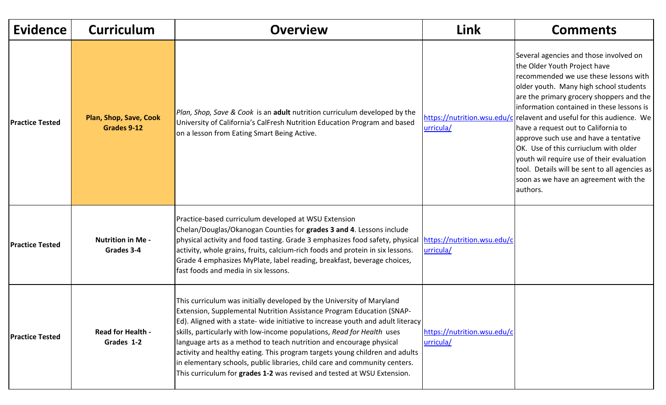| <b>Evidence</b>        | <b>Curriculum</b>                      | <b>Overview</b>                                                                                                                                                                                                                                                                                                                                                                                                                                                                                                                                                                                                            | <b>Link</b>                              | <b>Comments</b>                                                                                                                                                                                                                                                                                                                                                                                                                                                                                                                                                                                          |
|------------------------|----------------------------------------|----------------------------------------------------------------------------------------------------------------------------------------------------------------------------------------------------------------------------------------------------------------------------------------------------------------------------------------------------------------------------------------------------------------------------------------------------------------------------------------------------------------------------------------------------------------------------------------------------------------------------|------------------------------------------|----------------------------------------------------------------------------------------------------------------------------------------------------------------------------------------------------------------------------------------------------------------------------------------------------------------------------------------------------------------------------------------------------------------------------------------------------------------------------------------------------------------------------------------------------------------------------------------------------------|
| <b>Practice Tested</b> | Plan, Shop, Save, Cook<br>Grades 9-12  | Plan, Shop, Save & Cook is an adult nutrition curriculum developed by the<br>University of California's CalFresh Nutrition Education Program and based<br>on a lesson from Eating Smart Being Active.                                                                                                                                                                                                                                                                                                                                                                                                                      | urricula/                                | Several agencies and those involved on<br>the Older Youth Project have<br>recommended we use these lessons with<br>older youth. Many high school students<br>are the primary grocery shoppers and the<br>information contained in these lessons is<br>https://nutrition.wsu.edu/c relavent and useful for this audience. We <br>have a request out to California to<br>approve such use and have a tentative<br>OK. Use of this curriuclum with older<br>youth wil require use of their evaluation<br>tool. Details will be sent to all agencies as<br>soon as we have an agreement with the<br>authors. |
| <b>Practice Tested</b> | <b>Nutrition in Me -</b><br>Grades 3-4 | Practice-based curriculum developed at WSU Extension<br>Chelan/Douglas/Okanogan Counties for grades 3 and 4. Lessons include<br>physical activity and food tasting. Grade 3 emphasizes food safety, physical<br>activity, whole grains, fruits, calcium-rich foods and protein in six lessons.<br>Grade 4 emphasizes MyPlate, label reading, breakfast, beverage choices,<br>lfast foods and media in six lessons.                                                                                                                                                                                                         | https://nutrition.wsu.edu/c<br>urricula/ |                                                                                                                                                                                                                                                                                                                                                                                                                                                                                                                                                                                                          |
| <b>Practice Tested</b> | <b>Read for Health -</b><br>Grades 1-2 | This curriculum was initially developed by the University of Maryland<br>Extension, Supplemental Nutrition Assistance Program Education (SNAP-<br>Ed). Aligned with a state- wide initiative to increase youth and adult literacy<br>skills, particularly with low-income populations, Read for Health uses<br>language arts as a method to teach nutrition and encourage physical<br>activity and healthy eating. This program targets young children and adults<br>in elementary schools, public libraries, child care and community centers.<br>This curriculum for grades 1-2 was revised and tested at WSU Extension. | https://nutrition.wsu.edu/c<br>urricula/ |                                                                                                                                                                                                                                                                                                                                                                                                                                                                                                                                                                                                          |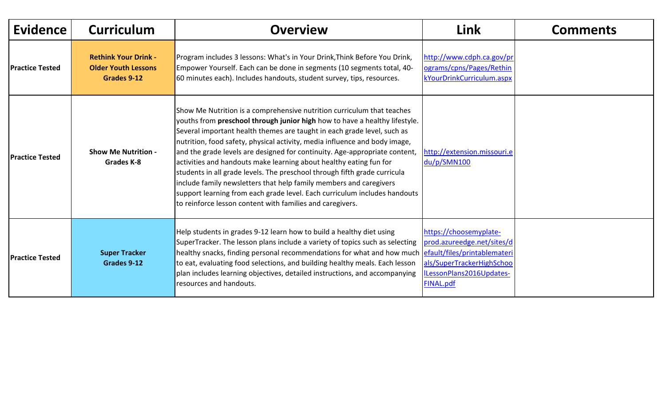| <b>Evidence</b>        | <b>Curriculum</b>                                                        | <b>Overview</b>                                                                                                                                                                                                                                                                                                                                                                                                                                                                                                                                                                                                                                                                                                                                                | Link                                                                                                                              | <b>Comments</b> |
|------------------------|--------------------------------------------------------------------------|----------------------------------------------------------------------------------------------------------------------------------------------------------------------------------------------------------------------------------------------------------------------------------------------------------------------------------------------------------------------------------------------------------------------------------------------------------------------------------------------------------------------------------------------------------------------------------------------------------------------------------------------------------------------------------------------------------------------------------------------------------------|-----------------------------------------------------------------------------------------------------------------------------------|-----------------|
| <b>Practice Tested</b> | <b>Rethink Your Drink -</b><br><b>Older Youth Lessons</b><br>Grades 9-12 | Program includes 3 lessons: What's in Your Drink, Think Before You Drink,<br>Empower Yourself. Each can be done in segments (10 segments total, 40-<br>60 minutes each). Includes handouts, student survey, tips, resources.                                                                                                                                                                                                                                                                                                                                                                                                                                                                                                                                   | http://www.cdph.ca.gov/pr<br>ograms/cpns/Pages/Rethin<br>kYourDrinkCurriculum.aspx                                                |                 |
| <b>Practice Tested</b> | <b>Show Me Nutrition -</b><br><b>Grades K-8</b>                          | Show Me Nutrition is a comprehensive nutrition curriculum that teaches<br>youths from preschool through junior high how to have a healthy lifestyle.<br>Several important health themes are taught in each grade level, such as<br>nutrition, food safety, physical activity, media influence and body image,<br>and the grade levels are designed for continuity. Age-appropriate content,<br>activities and handouts make learning about healthy eating fun for<br>students in all grade levels. The preschool through fifth grade curricula<br>include family newsletters that help family members and caregivers<br>support learning from each grade level. Each curriculum includes handouts<br>to reinforce lesson content with families and caregivers. | http://extension.missouri.e<br>du/p/SMN100                                                                                        |                 |
| <b>Practice Tested</b> | <b>Super Tracker</b><br>Grades 9-12                                      | Help students in grades 9-12 learn how to build a healthy diet using<br>SuperTracker. The lesson plans include a variety of topics such as selecting<br>healthy snacks, finding personal recommendations for what and how much efault/files/printablemateri<br>to eat, evaluating food selections, and building healthy meals. Each lesson<br>plan includes learning objectives, detailed instructions, and accompanying<br>resources and handouts.                                                                                                                                                                                                                                                                                                            | https://choosemyplate-<br>prod.azureedge.net/sites/d<br>als/SuperTrackerHighSchoo<br>ILessonPlans2016Updates-<br><b>FINAL.pdf</b> |                 |